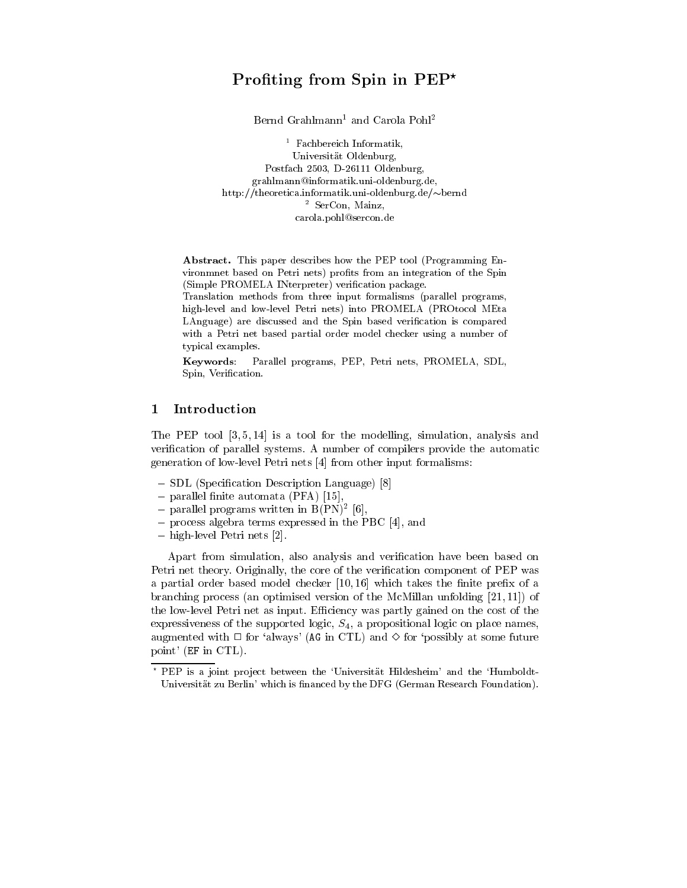# Pronting from Spin in PEP $^{\circ}$

Bernd Grahlmann<sup>1</sup> and Carola Pohl<sup>2</sup>

<sup>1</sup> Fachbereich Informatik, Universitat Oldenburg, Postfach 2503, D-26111 Oldenburg, grahlmann@informatik.uni-oldenburg.de, http://theoretica.informatik.uni-oldenburg.de/ $\sim$ bernd <sup>2</sup> SerCon, Mainz, carola.pohl@sercon.de

Abstract. This paper describes how the PEP tool (Programming Environmnet based on Petri nets) profits from an integration of the Spin (Simple PROMELA INterpreter) verification package.

Translation methods from three input formalisms (parallel programs, high-level and low-level Petri nets) into PROMELA (PROtocol MEta LAnguage) are discussed and the Spin based verification is compared with a Petri net based partial order model checker using a number of typical examples.

Keywords: Parallel programs, PEP, Petri nets, PROMELA, SDL, Spin, Verification.

# 1 Introduction

The PEP tool [3, 5, 14] is a tool for the modelling, simulation, analysis and verification of parallel systems. A number of compilers provide the automatic generation of low-level Petri nets [4] from other input formalisms:

- SDL (Specification Description Language) [8]
- parallel finite automata (PFA) [15],
- $=$  parallel programs written in  $B(FN)^{-}|0|,$
- { process algebra terms expressed in the PBC [4], and
- { high-level Petri nets [2].

Apart from simulation, also analysis and verication have been based on Petri net theory. Originally, the core of the verification component of PEP was a partial order based model checker  $[10, 16]$  which takes the finite prefix of a branching process (an optimised version of the McMillan unfolding [21, 11]) of the low-level Petri net as input. Efficiency was partly gained on the cost of the expressiveness of the supported logic,  $S_4$ , a propositional logic on place names, augmented with  $\Box$  for 'always' (AG in CTL) and  $\diamond$  for 'possibly at some future point' (EF in CTL).

<sup>?</sup> PEP is a joint pro ject between the `Universitat Hildesheim' and the `Humboldt-Universität zu Berlin' which is financed by the DFG (German Research Foundation).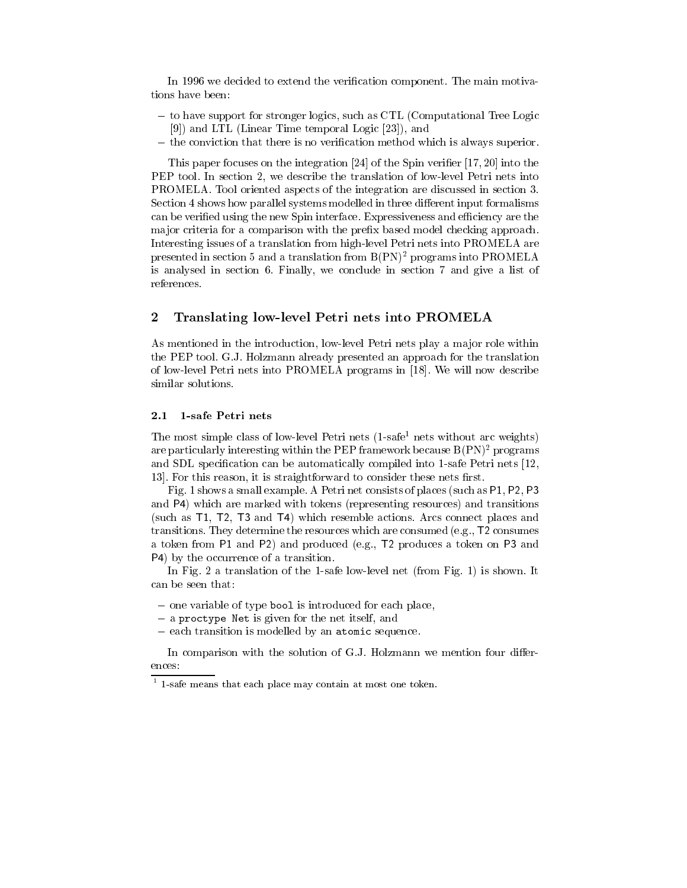In 1996 we decided to extend the verification component. The main motivations have been:

- { to have support for stronger logics, such as CTL (Computational Tree Logic [9]) and LTL (Linear Time temporal Logic [23]), and
- the conviction that there is no verification method which is always superior.

This paper focuses on the integration [24] of the Spin verifier [17, 20] into the PEP tool. In section 2, we describe the translation of low-level Petri nets into PROMELA. Tool oriented aspects of the integration are discussed in section 3. Section 4 shows how parallel systems modelled in three different input formalisms can be verified using the new Spin interface. Expressiveness and efficiency are the major criteria for a comparison with the prefix based model checking approach. Interesting issues of a translation from high-level Petri nets into PROMELA are presented in section 5 and a translation from  $B(PN)^2$  programs into PROMELA is analysed in section 6. Finally, we conclude in section 7 and give a list of references.

## 2 Translating low-level Petri nets into PROMELA

As mentioned in the introduction, low-level Petri nets play a major role within the PEP tool. G.J. Holzmann already presented an approach for the translation of low-level Petri nets into PROMELA programs in [18]. We will now describe similar solutions.

#### $2.1$ 1-safe Petri nets

The most simple class of low-level Petri nets (1-safe<sup>1</sup> nets without arc weights) are particularly interesting within the PEP framework because  $B(\text{PN})^2$  programs and SDL specication can be automatically compiled into 1-safe Petri nets [12, 13. For this reason, it is straightforward to consider these nets first.

Fig. 1 shows a small example. A Petri net consists of places (such as P1, P2, P3 and P4) which are marked with tokens (representing resources) and transitions (such as T1, T2, T3 and T4) which resemble actions. Arcs connect places and transitions. They determine the resources which are consumed (e.g., T2 consumes a token from P1 and P2) and produced (e.g., T2 produces a token on P3 and P4) by the occurrence of a transition.

In Fig. 2 a translation of the 1-safe low-level net (from Fig. 1) is shown. It can be seen that:

- one variable of type bool is introduced for each place,
- $=$  a proctype Net is given for the net itself, and
- each transition is modelled by an atomic sequence.

In comparison with the solution of G.J. Holzmann we mention four differences:

<sup>1</sup> 1-safe means that each place may contain at most one token.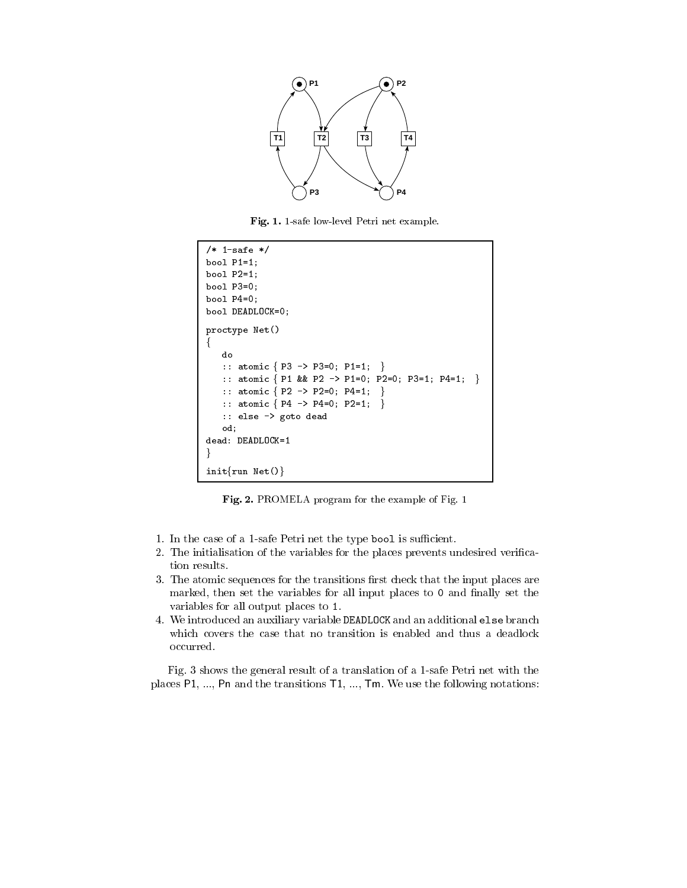

Fig. 1. 1-safe low-level Petri net example.

```
/* 1-safe */
bool P1=1;
bool P2=1;
bool P3=0;
bool P4=0;
bool DEADLOCK=0;
proctype Net()
f
   :: atomic \{ P3 \rightarrow P3=0; P1=1; \}:: atomic { P1 && P2 -> P1=0; P2=0; P3=1; P4=1; }
   :: atomic { P2 -> P2=0; P4=1; }
   :: atomic { P4 \rightarrow P4=0; P2=1; }
   :: else -> goto dead
   od;
dead: DEADLOCK=1
\}init\{run \ Net()\}
```
Fig. 2. PROMELA program for the example of Fig. 1

- 1. In the case of a 1-safe Petri net the type bool is sufficient.
- 2. The initialisation of the variables for the places prevents undesired verication results.
- 3. The atomic sequences for the transitions first check that the input places are marked, then set the variables for all input places to 0 and finally set the variables for all output places to 1.
- 4. We introduced an auxiliary variable DEADLOCK and an additional else branch which covers the case that no transition is enabled and thus a deadlock occurred.

Fig. 3 shows the general result of a translation of a 1-safe Petri net with the places P1, ..., Pn and the transitions T1, ..., Tm. We use the following notations: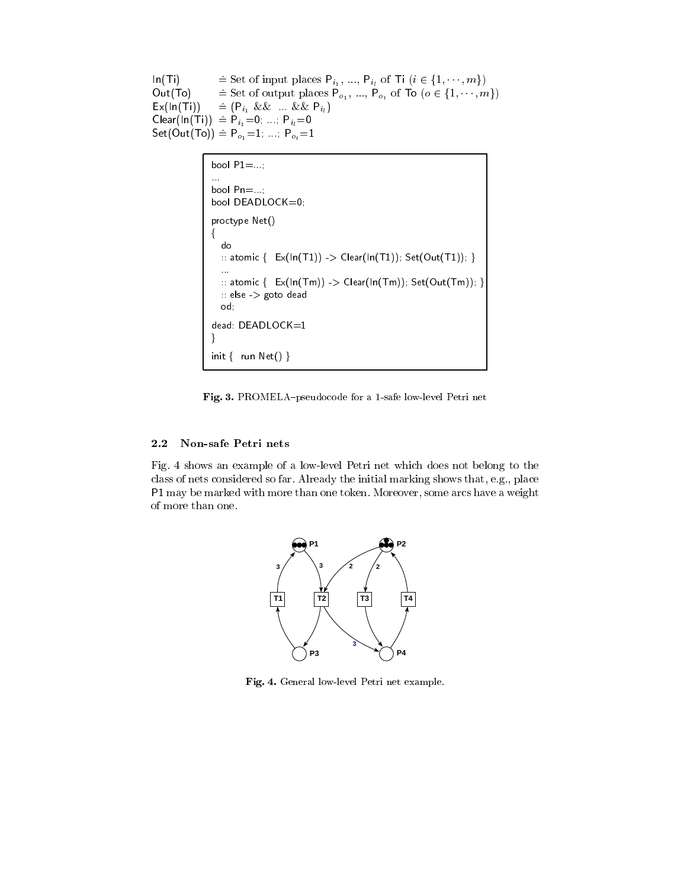$\mathsf{In}(\mathsf{Ti}) \qquad \cong \text{Set of input places } \mathsf{P}_{i_1}, \dots, \mathsf{P}_{i_l} \text{ of } \mathsf{Ti} \ (i \in \{1, \dots, m\})$ Out(To)  $\cong$  Set of output places  $P_{o_1}, ..., P_{o_t}$  of To  $(o \in \{1, ..., m\})$  $\mathsf{Ex}(\mathsf{In}(\mathsf{Ti})) \cong (\mathsf{P}_{i_1} \&\& \ldots \&\& \mathsf{P}_{i_l})$  $Clear(In(Ti)) \triangleq P_{i_1}=0; \dots; P_{i_l}=0$  $Set(Out(To)) \triangleq P_{o_1}=1; \dots; P_{o_t}=1$ 

```
bool P1 = ...;bool Pn=...;
bool DEADLOCK=0;
proctype Net()
\{do
   :: atomic \{ Ex(\ln(T1)) \rightarrow \text{Clear}(\ln(T1)); \text{Set}(\text{Out}(T1)); \}...
   \therefore atomic \{ \operatorname{Ex}(\operatorname{In}(\mathsf{Tm})) > \operatorname{Clear}(\operatorname{In}(\mathsf{Tm})) ; \operatorname{Set}(\operatorname{Out}(\mathsf{Tm})) ; \}:: else -> goto dead
   od;
dead: DEADLOCK=1
\}init \{ run Net() \}
```
Fig. 3. PROMELA-pseudocode for a 1-safe low-level Petri net

# 2.2 Non-safe Petri nets

Fig. 4 shows an example of a low-level Petri net which does not belong to the class of nets considered so far. Already the initial marking shows that, e.g., place P1 may be marked with more than one token. Moreover, some arcs have a weight of more than one.



Fig. 4. General low-level Petri net example.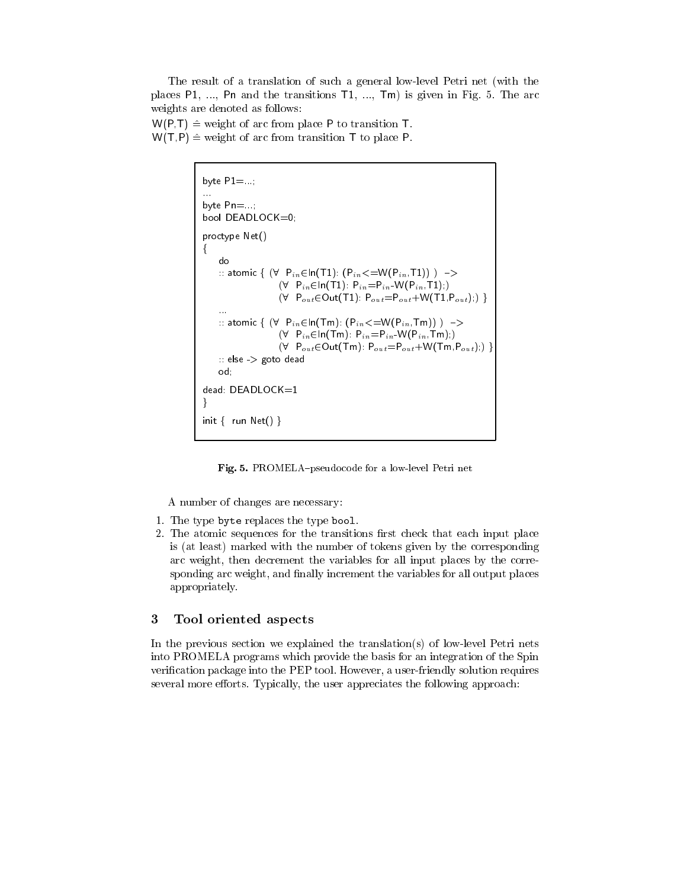The result of a translation of such a general low-level Petri net (with the places P1, ..., Pn and the transitions T1, ..., Tm) is given in Fig. 5. The arc weights are denoted as follows:

 $W(P,T) \triangleq$  weight of arc from place P to transition T.  $W(T, P) \triangleq$  weight of arc from transition T to place P.

```
byte P1 = . . .... byte Pn=...;
bool DEADLOCK=0;
proctype Net()
 f
     do
     :: atomic { (\forall P_{in} \in \text{In}(T1): (P_{in} \in W(P_{in},T1)) ) \rightarrow(\forall \; P_{in} \in \text{In}(T1): P_{in} = P_{in} \cdot W(P_{in},T1);)(\forall P_{out} \in Out(T1): P_{out} = P_{out}+W(T1,P_{out});):: atomic \{ (\forall \; P_{in} \in \text{In}(\text{Im}) : (P_{in} \leq W(P_{in},T\text{m})) \; ) \; \rightarrow(\forall \quad P_{in} \in \mathsf{In}(\mathsf{Tm}): P_{in} = P_{in} \cdot W(P_{in},\mathsf{Tm});)
                           (\forall P_{out} \in Out(Tm): P_{out} = P_{out}+W(Tm,P_{out});)\therefore else \Rightarrow goto dead
     od;
dead: DEADLOCK=1
\mathcal{F}_{\mathcal{F}}init \{ run Net() \}
```
Fig. 5. PROMELA-pseudocode for a low-level Petri net

A number of changes are necessary:

- 1. The type byte replaces the type bool.
- 2. The atomic sequences for the transitions first check that each input place is (at least) marked with the number of tokens given by the corresponding arc weight, then decrement the variables for all input places by the corresponding arc weight, and finally increment the variables for all output places appropriately.

#### 3 Tool oriented aspects

In the previous section we explained the translation(s) of low-level Petri nets into PROMELA programs which provide the basis for an integration of the Spin verification package into the PEP tool. However, a user-friendly solution requires several more efforts. Typically, the user appreciates the following approach: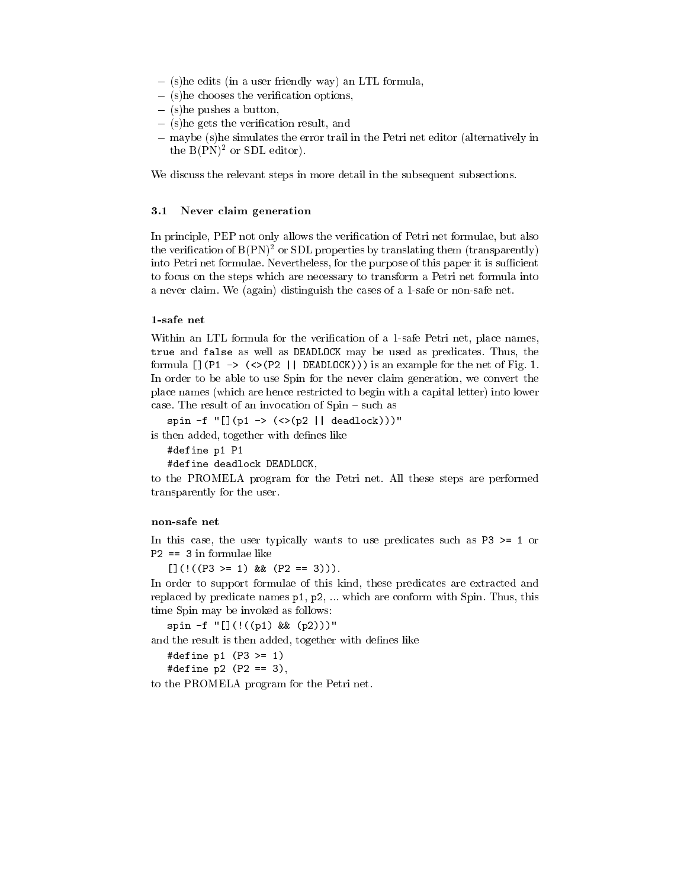- ${} (s)$ he edits (in a user friendly way) an LTL formula,
- $-$  (s) he chooses the verification options,
- ${} (s)$ he pushes a button,
- $-$  (s) he gets the verification result, and
- $-$  maybe (s)he simulates the error trail in the Petri net editor (alternatively in the  $B(PN)^2$  or SDL editor).

We discuss the relevant steps in more detail in the subsequent subsections.

#### 3.1 Never claim generation

In principle, PEP not only allows the verification of Petri net formulae, but also the verification of  $B(PN)^2$  or SDL properties by translating them (transparently) into Petri net formulae. Nevertheless, for the purpose of this paper it is sufficient to focus on the steps which are necessary to transform a Petri net formula into a never claim. We (again) distinguish the cases of a 1-safe or non-safe net.

Within an LTL formula for the verification of a 1-safe Petri net, place names, true and false as well as DEADLOCK may be used as predicates. Thus, the formula  $[]$ (P1 -> (<>(P2 | | DEADLOCK))) is an example for the net of Fig. 1. In order to be able to use Spin for the never claim generation, we convert the place names (which are hence restricted to begin with a capital letter) into lower case. The result of an invocation of  $Spin - such$  as

spin -f " $[](p1 -> (<)(p2 || deadlock)))$ "

is then added, together with defines like

#define p1 P1

#define deadlock DEADLOCK,

to the PROMELA program for the Petri net. All these steps are performed transparently for the user.

#### non-safe net

In this case, the user typically wants to use predicates such as P3 >= 1 or P2 == 3 in formulae like

 $[](!(P3 \geq 1) \& (P2 == 3))).$ 

In order to support formulae of this kind, these predicates are extracted and replaced by predicate names p1, p2, ... which are conform with Spin. Thus, this time Spin may be invoked as follows:

spin -f "[](!((p1) && (p2)))"

and the result is then added, together with defines like

#define p1 (P3 >= 1)

#define p2 (P2 == 3),<br>to the PROMELA program for the Petri net.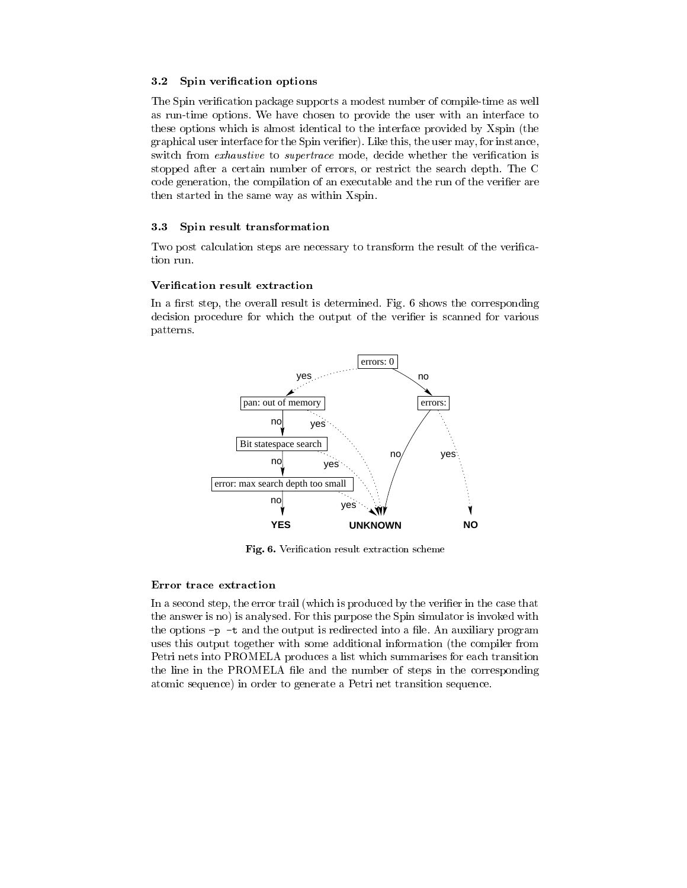#### 3.2 Spin verification options

The Spin verification package supports a modest number of compile-time as well as run-time options. We have chosen to provide the user with an interface to these options which is almost identical to the interface provided by Xspin (the graphical user interface for the Spin verifier). Like this, the user may, for instance, switch from *exhaustive* to *supertrace* mode, decide whether the verification is stopped after a certain number of errors, or restrict the search depth. The C code generation, the compilation of an executable and the run of the verifier are then started in the same way as within Xspin.

#### 3.3 Spin result transformation

Two post calculation steps are necessary to transform the result of the verification run.

#### Verication result extraction

In a first step, the overall result is determined. Fig.  $6$  shows the corresponding decision procedure for which the output of the verifier is scanned for various patterns.



Fig. 6. Verification result extraction scheme

#### Error trace extraction

In a second step, the error trail (which is produced by the verifier in the case that the answer is no) is analysed. For this purpose the Spin simulator is invoked with the options  $-p$  -t and the output is redirected into a file. An auxiliary program uses this output together with some additional information (the compiler from Petri nets into PROMELA produces a list which summarises for each transition the line in the PROMELA file and the number of steps in the corresponding atomic sequence) in order to generate a Petri net transition sequence.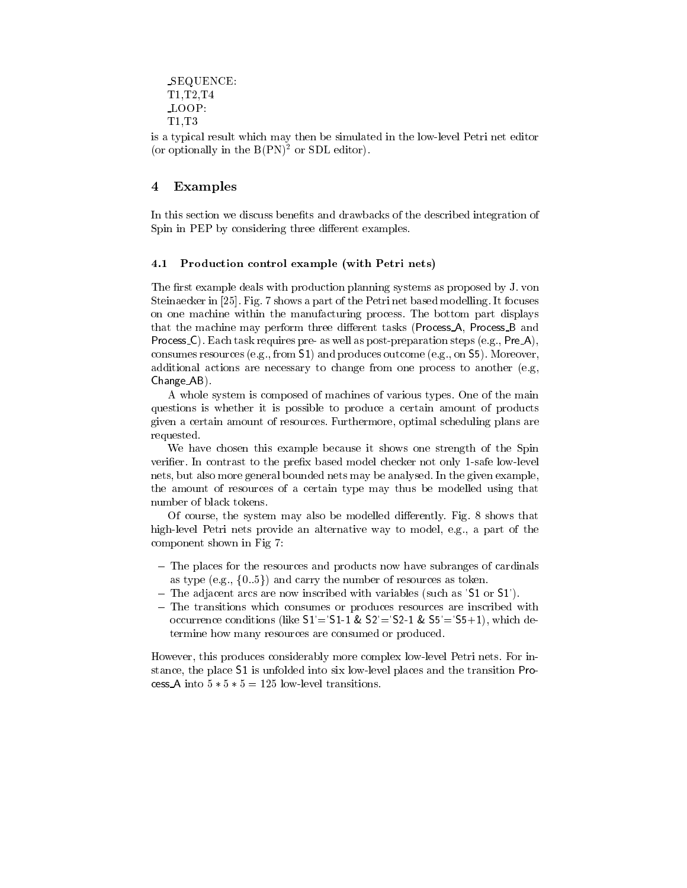```
SEQUENCE:
T1,T2,T4
LOOP:
T1,T3
```
is a typical result which may then be simulated in the low-level Petri net editor (or optionally in the  $B(PN)^2$  or SDL editor).

## 4 Examples

In this section we discuss benefits and drawbacks of the described integration of Spin in PEP by considering three different examples.

## 4.1 Production control example (with Petri nets)

The first example deals with production planning systems as proposed by J. von Steinaecker in [25]. Fig. 7 shows a part of the Petri net based modelling. It focuses on one machine within the manufacturing process. The bottom part displays that the machine may perform three different tasks (Process\_A, Process\_B and Process  $C$ ). Each task requires pre- as well as post-preparation steps (e.g., Pre $\mathcal{A}$ ), consumes resources (e.g., from S1) and produces outcome (e.g., on S5). Moreover, additional actions are necessary to change from one process to another (e.g, Change AB).

A whole system is composed of machines of various types. One of the main questions is whether it is possible to produce a certain amount of products given a certain amount of resources. Furthermore, optimal scheduling plans are requested.

We have chosen this example because it shows one strength of the Spin verifier. In contrast to the prefix based model checker not only 1-safe low-level nets, but also more general bounded nets may be analysed. In the given example, the amount of resources of a certain type may thus be modelled using that number of black tokens.

Of course, the system may also be modelled differently. Fig. 8 shows that high-level Petri nets provide an alternative way to model, e.g., a part of the component shown in Fig 7:

- { The places for the resources and products now have subranges of cardinals as type (e.g.,  $\{0..5\}$ ) and carry the number of resources as token.
- ${\rm -}$  The adjacent arcs are now inscribed with variables (such as 'S1 or S1').
- ${\bf -}$  The transitions which consumes or produces resources are inscribed with occurrence conditions (like  $S1' = S1-1$  &  $S2' = S2-1$  &  $S5' = S5+1$ ), which determine how many resources are consumed or produced.

However, this produces considerably more complex low-level Petri nets. For instance, the place S1 is unfolded into six low-level places and the transition Process A into  $5 * 5 * 5 = 125$  low-level transitions.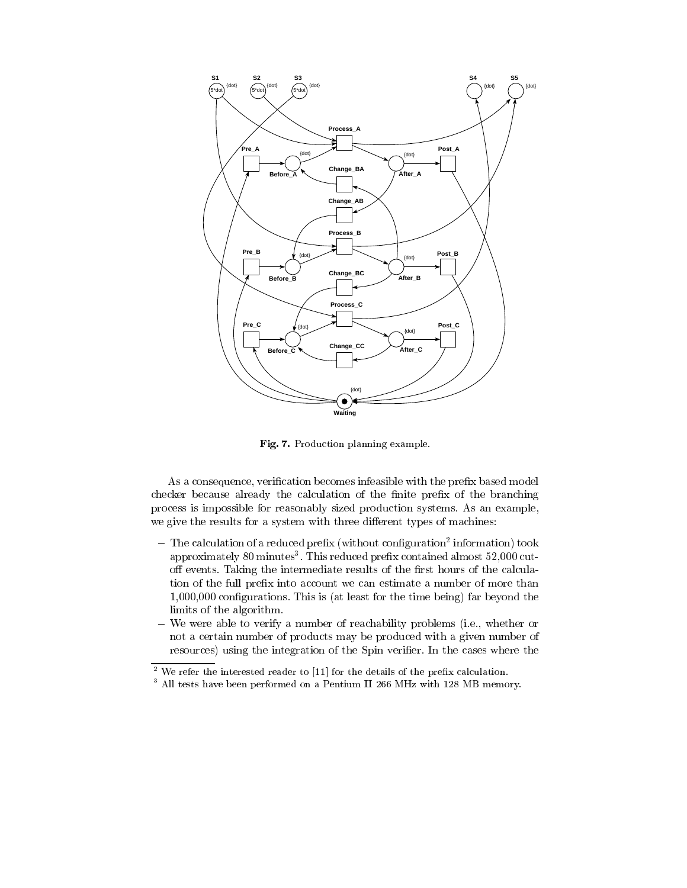

Fig. 7. Production planning example.

As a consequence, verification becomes infeasible with the prefix based model checker because already the calculation of the finite prefix of the branching process is impossible for reasonably sized production systems. As an example, we give the results for a system with three different types of machines:

- $-$  1 ne calculation of a reduced prenx (without configuration- information) took  $\,$ approximately so minutes". This reduced prelix contained almost 52,000 cutoff events. Taking the intermediate results of the first hours of the calculation of the full prefix into account we can estimate a number of more than 1,000,000 congurations. This is (at least for the time being) far beyond the limits of the algorithm.
- { We were able to verify a number of reachability problems (i.e., whether or not a certain number of products may be produced with a given number of resources) using the integration of the Spin verifier. In the cases where the

<sup>2</sup> We refer the interested reader to [11] for the details of the prex calculation.

<sup>3</sup> All tests have been performed on a Pentium II 266 MHz with 128 MB memory.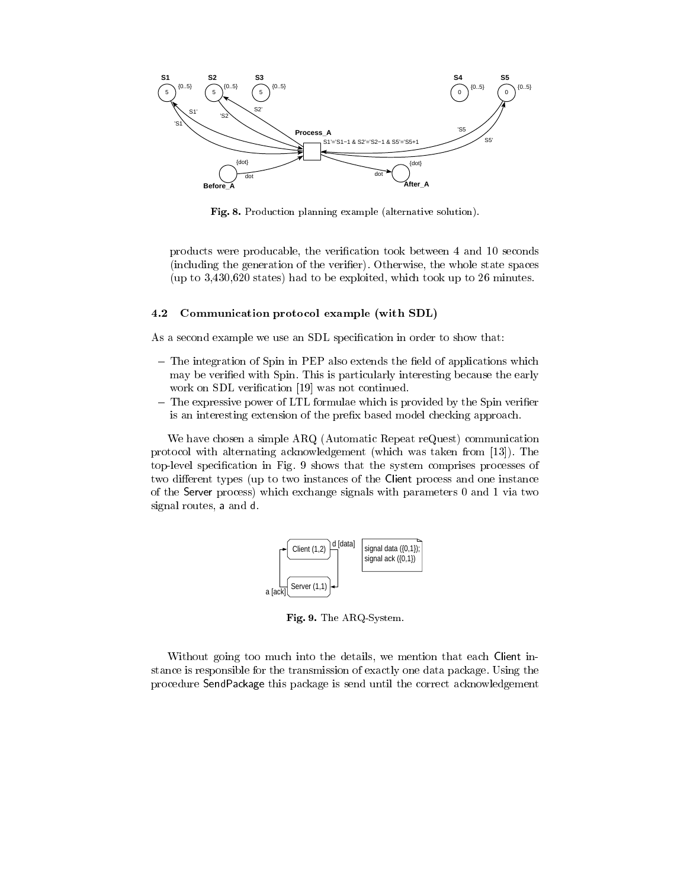

Fig. 8. Production planning example (alternative solution).

products were producable, the verication took between 4 and 10 seconds (including the generation of the verifier). Otherwise, the whole state spaces (up to 3,430,620 states) had to be exploited, which took up to 26 minutes.

#### 4.2 Communication protocol example (with SDL)

As a second example we use an SDL specification in order to show that:

- $-$  The integration of Spin in PEP also extends the field of applications which may be veried with Spin. This is particularly interesting because the early work on SDL verification [19] was not continued.
- $-$  The expressive power of LTL formulae which is provided by the Spin verifier is an interesting extension of the prefix based model checking approach.

We have chosen a simple ARQ (Automatic Repeat reQuest) communication protocol with alternating acknowledgement (which was taken from [13]). The top-level specication in Fig. 9 shows that the system comprises processes of two different types (up to two instances of the Client process and one instance of the Server process) which exchange signals with parameters 0 and 1 via two signal routes, a and d.



Fig. 9. The ARQ-System.

Without going too much into the details, we mention that each Client instance is responsible for the transmission of exactly one data package. Using the procedure SendPackage this package is send until the correct acknowledgement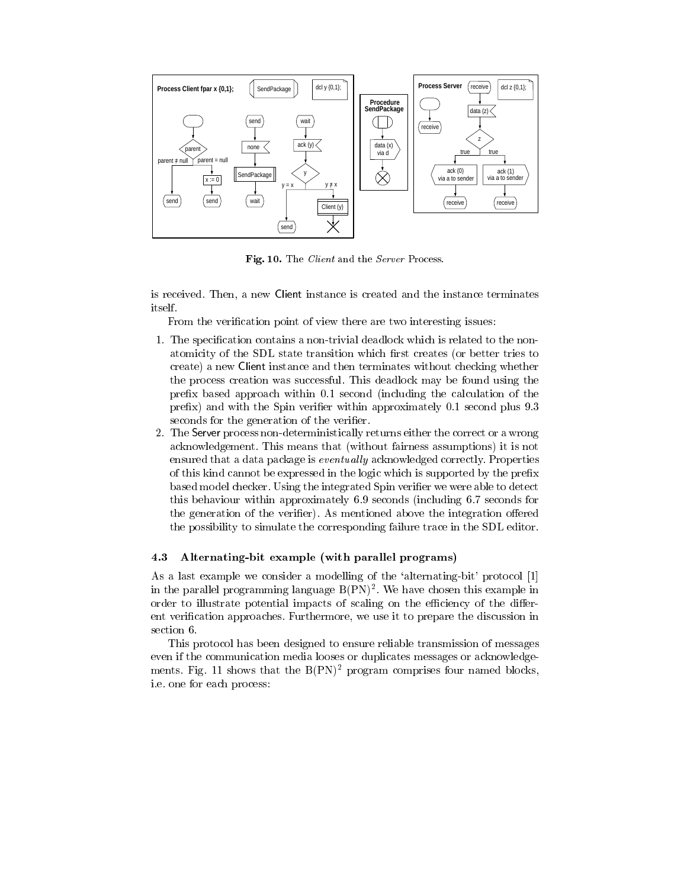

Fig. 10. The *Client* and the *Server* Process.

is received. Then, a new Client instance is created and the instance terminates itself.

From the verification point of view there are two interesting issues:

- 1. The specication contains a non-trivial deadlock which is related to the nonatomicity of the SDL state transition which first creates (or better tries to create) a new Client instance and then terminates without checking whether the process creation was successful. This deadlock may be found using the prefix based approach within  $0.1$  second (including the calculation of the prefix) and with the Spin verifier within approximately 0.1 second plus 9.3 seconds for the generation of the verifier.
- 2. The Server process non-deterministically returns either the correct or a wrong acknowledgement. This means that (without fairness assumptions) it is not ensured that a data package is *eventually* acknowledged correctly. Properties of this kind cannot be expressed in the logic which is supported by the prefix based model checker. Using the integrated Spin verifier we were able to detect this behaviour within approximately 6.9 seconds (including 6.7 seconds for the generation of the verifier). As mentioned above the integration offered the possibility to simulate the corresponding failure trace in the SDL editor.

#### 4.3 Alternating-bit example (with parallel programs)

As a last example we consider a modelling of the 'alternating-bit' protocol [1] in the parallel programming language  $B(\Gamma N)^{-}$ . We have chosen this example in order to illustrate potential impacts of scaling on the efficiency of the different verification approaches. Furthermore, we use it to prepare the discussion in section 6.

This protocol has been designed to ensure reliable transmission of messages even if the communication media looses or duplicates messages or acknowledgements. Fig. 11 shows that the  $B(PN)^2$  program comprises four named blocks, i.e. one for each process: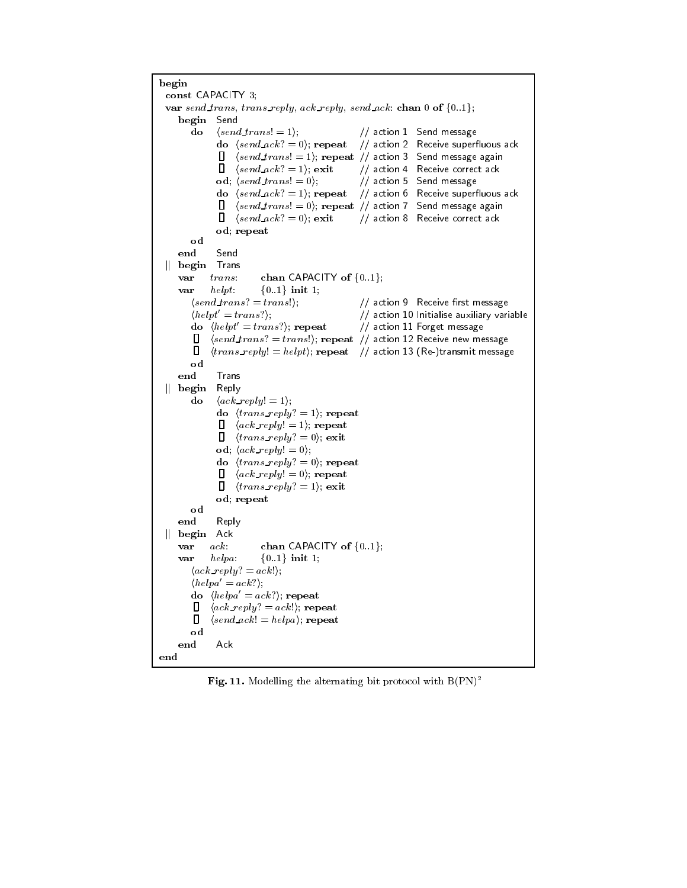```
begin
 const CAPACITY 3; var send trans, trans reply, ack reply, send ack: chan 0 of \{0..1\};
     begin Send
         do \langle send\_trans! = 1 \rangle; // action 1 Send message
                do \langle send \,ack \,ack = 0); repeat // action 2 Receive superfluous ack
                \mathsf{\Pi}\langle send\,trans! = 1 \rangle; repeat // action 3 Send message again
                \Box \langle send\_ack? = 1 \rangle; exit // action 4 Receive correct ack
                od; \langle send\_trans! = 0 \rangle; // action 5 Send message
                do \langle send\_ack? = 1 \rangle; repeat // action 6 Receive superfluous ack
                \Box\langle send\,trans! = 0 \rangle; repeat // action 7 Send message again
                \Box\langle send\_ack? = 0 \rangle; exit // action 8 Receive correct ack
                od; repeat
         odend Send
 \parallel begin Trans
     var trans: chan CAPACITY of \{0..1\};var helpt: \{0..1\} init 1;
         \langle send\,trans? = trans! \rangle; // action 9 Receive first message
         \langle helpt' = trans? \rangle;<br>
\langle helpt' = trans? \rangle; repeat \langle helpt' = trans? \rangle; repeat \langle helpt' = trans? \rangle; repeat \langle helpt' = trans? \rangledo \langle helpt' = trans? \rangle; repeat
         \Box (send trans? = trans!); repeat // action 12 Receive new message
         \Box\langle trans\_reply \rangle = helpt \rangle; repeat // action 13 (Re-)transmit message
         od
     end Trans \parallel begin Reply
         do \langle ack\_reply = 1 \rangle;do \langle trans\_reply? = 1 \rangle; repeat
                     \langle \textit{ack\_reply} \rangle = 1 \rangle; repeat
                \Box\Box\langle trans\_reply? = 0 \rangle; exit
                od; \langle \operatorname{ack} \operatorname{reply!} = 0 \rangle;
                do \langle trans\_reply?=0\rangle; repeat
                \Box \quad \langle \textit{ack\_reply} \rangle = 0 \rangle; repeat
                \Box \langle trans\_reply? = 1 \rangle; exit
                od; repeat
     end
                Reply
 \parallel begin Ack
     var ack: chan CAPACITY of \{0..1\};
     var helpa: \{0..1\} init 1;
         \langle ack\_reply? = ack! \rangle;
         \langle helpa' = ack? \rangle;
         do \langle helpa'=ack? \rangle; repeat
         \Box \langle ack\_reply? = ack! \rangle; repeat
         \Box\langle send\_ack! = helpa \rangle; repeat
        od
     end Ack
end
```
Fig. 11. Modelling the alternating bit protocol with  $B(\text{PN})^2$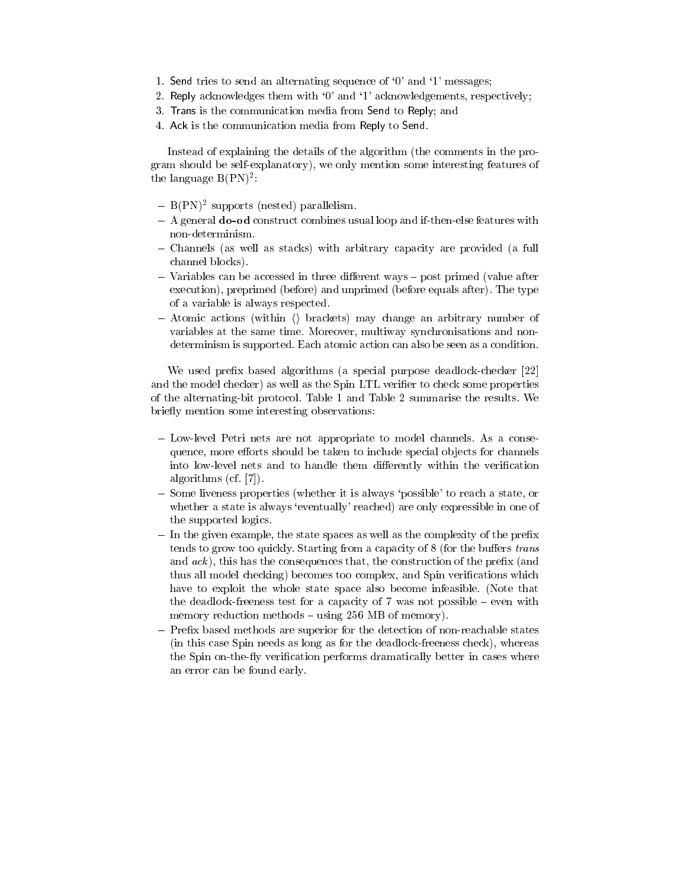- 1. Send tries to send an alternating sequence of `0' and `1' messages;
- 2. Reply acknowledges them with '0' and '1' acknowledgements, respectively;
- 3. Trans is the communication media from Send to Reply; and
- 4. Ack is the communication media from Reply to Send.

Instead of explaining the details of the algorithm (the comments in the program should be self-explanatory), we only mention some interesting features of the language  $D(\Gamma N)^{-1}$ :

- $=$   $B(FN)$  supports (nested) parallelism.
- ${\bf -}$  A general **do-od** construct combines usual loop and if-then-else features with non-determinism.
- { Channels (as well as stacks) with arbitrary capacity are provided (a full channel blocks).
- $-$  Variables can be accessed in three different ways  $-$  post primed (value after execution), preprimed (before) and unprimed (before equals after). The type of a variable is always respected.
- $-$  Atomic actions (within  $\langle \rangle$  brackets) may change an arbitrary number of variables at the same time. Moreover, multiway synchronisations and nondeterminism is supported. Each atomic action can also be seen as a condition.

We used prefix based algorithms (a special purpose deadlock-checker [22] and the model checker) as well as the Spin LTL verifier to check some properties of the alternating-bit protocol. Table 1 and Table 2 summarise the results. We briefly mention some interesting observations:

- Low-level Petri nets are not appropriate to model channels. As a consequence, more efforts should be taken to include special objects for channels into low-level nets and to handle them differently within the verification algorithms (cf. [7]).
- { Some liveness properties (whether it is always `possible' to reach a state, or whether a state is always 'eventually' reached) are only expressible in one of the supported logics.
- ${\rm -}$  In the given example, the state spaces as well as the complexity of the prefix tends to grow too quickly. Starting from a capacity of 8 (for the buffers trans and  $ack$ ), this has the consequences that, the construction of the prefix (and thus all model checking) becomes too complex, and Spin verifications which have to exploit the whole state space also become infeasible. (Note that the deadlock-freeness test for a capacity of  $7$  was not possible  $-$  even with memory reduction methods  $-$  using 256 MB of memory).
- Prefix based methods are superior for the detection of non-reachable states (in this case Spin needs as long as for the deadlock-freeness check), whereas the Spin on-the-fly verification performs dramatically better in cases where an error can be found early.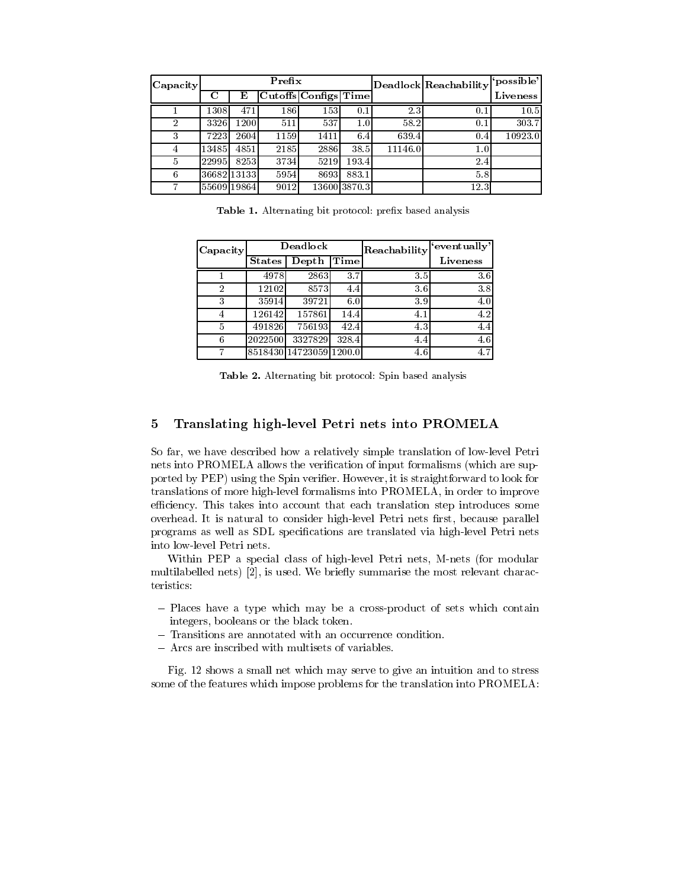| Capacity |       |             | Prefix |                      |              |         | Deadlock Reachability | 'possible' |
|----------|-------|-------------|--------|----------------------|--------------|---------|-----------------------|------------|
|          | С     | Е           |        | Cutoffs Configs Time |              |         |                       | Liveness   |
|          | 1308I | 471         | 186    | 1531                 | 0.1          | 2.3     | 0.1                   | 10.5       |
| 2        | 3326  | 1200        | 511    | 537                  | 1.0          | 58.2    | 0.1                   | 303.7      |
| 3        | 7223  | 2604        | 1159   | 1411                 | 6.4          | 639.4   | 0.4                   | 10923.0    |
| 4        | 13485 | 4851        | 2185   | 2886                 | 38.5         | 11146.0 | $1.0\,$               |            |
| 5        | 22995 | 8253        | 3734   | 5219                 | 193.4        |         | 2.4                   |            |
| 6        |       | 36682 13133 | 5954   | 8693                 | 883.1        |         | 5.8                   |            |
| 7        |       | 55609 19864 | 9012   |                      | 13600 3870.3 |         | 12.3                  |            |

Table 1. Alternating bit protocol: prefix based analysis

| Capacity | Deadlock      |                         |                    | Reachability | "eventually"    |
|----------|---------------|-------------------------|--------------------|--------------|-----------------|
|          | <b>States</b> | Depth                   | $\overline{T}$ ime |              | <b>Liveness</b> |
|          | 4978          | 2863                    | 3.7                | 3.5          | 3.6             |
| 2        | 12102         | 8573                    | 4.4                | 3.6          | 3.8             |
| 3        | 35914         | 39721                   | 6.0                | 3.9          | 4.0             |
| 4        | 126142        | 157861                  | 14.4               | 4.1          | 4.2             |
|          | 491826        | 756193                  | 42.4               | 4.3          | 4.4             |
| 6        | 2022500       | 3327829                 | 328.4              | 4.4          | 4.6             |
| ⇁        |               | 8518430 14723059 1200.0 |                    | 4.6          | 4.7             |

Table 2. Alternating bit protocol: Spin based analysis

# 5 Translating high-level Petri nets into PROMELA

So far, we have described how a relatively simple translation of low-level Petri nets into PROMELA allows the verication of input formalisms (which are supported by PEP) using the Spin verier. However, it is straightforward to look for translations of more high-level formalisms into PROMELA, in order to improve efficiency. This takes into account that each translation step introduces some overhead. It is natural to consider high-level Petri nets first, because parallel programs as well as SDL specications are translated via high-level Petri nets into low-level Petri nets.

Within PEP a special class of high-level Petri nets, M-nets (for modular multilabelled nets) [2], is used. We briefly summarise the most relevant characteristics:

- { Places have a type which may be a cross-product of sets which contain integers, booleans or the black token.
- Transitions are annotated with an occurrence condition.
- Arcs are inscribed with multisets of variables.

Fig. 12 shows a small net which may serve to give an intuition and to stress some of the features which impose problems for the translation into PROMELA: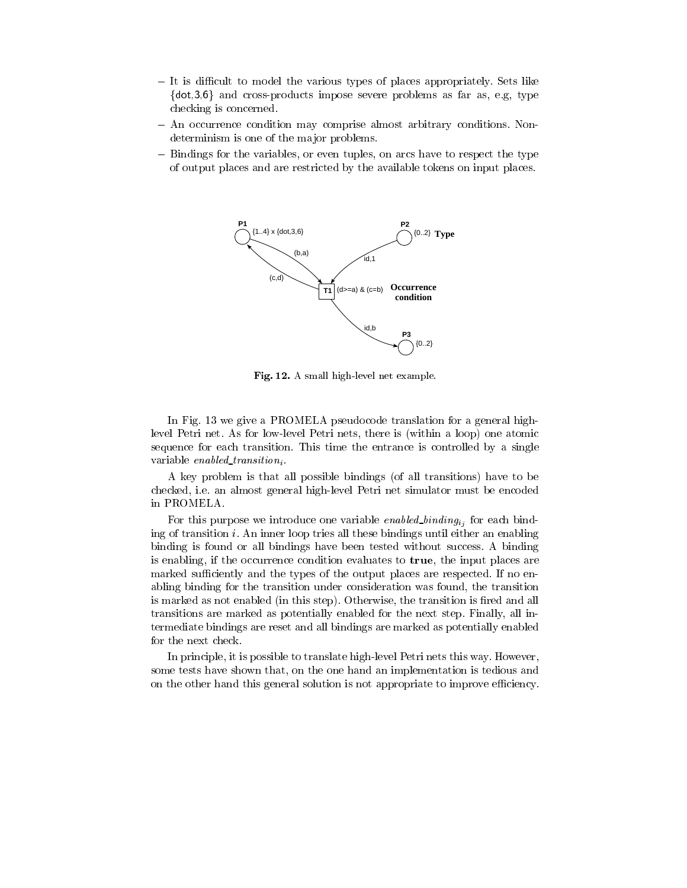- It is difficult to model the various types of places appropriately. Sets like  $\{dot,3,6\}$  and cross-products impose severe problems as far as, e.g, type checking is concerned.
- $-$  An occurrence condition may comprise almost arbitrary conditions. Nondeterminism is one of the major problems.
- Bindings for the variables, or even tuples, on arcs have to respect the type of output places and are restricted by the available tokens on input places.



Fig. 12. A small high-level net example.

In Fig. 13 we give a PROMELA pseudocode translation for a general highlevel Petri net. As for low-level Petri nets, there is (within a loop) one atomic sequence for each transition. This time the entrance is controlled by a single variable enabled transition.

A key problem is that all possible bindings (of all transitions) have to be checked, i.e. an almost general high-level Petri net simulator must be encoded in PROMELA.

For this purpose we introduce one variable *enabled\_binding<sub>i<sub>i</sub></sub>* for each binding of transition i. An inner loop tries all these bindings until either an enabling binding is found or all bindings have been tested without success. A binding is enabling, if the occurrence condition evaluates to true, the input places are marked sufficiently and the types of the output places are respected. If no enabling binding for the transition under consideration was found, the transition is marked as not enabled (in this step). Otherwise, the transition is fired and all transitions are marked as potentially enabled for the next step. Finally, all intermediate bindings are reset and all bindings are marked as potentially enabled for the next check.

In principle, it is possible to translate high-level Petri nets this way. However, some tests have shown that, on the one hand an implementation is tedious and on the other hand this general solution is not appropriate to improve efficiency.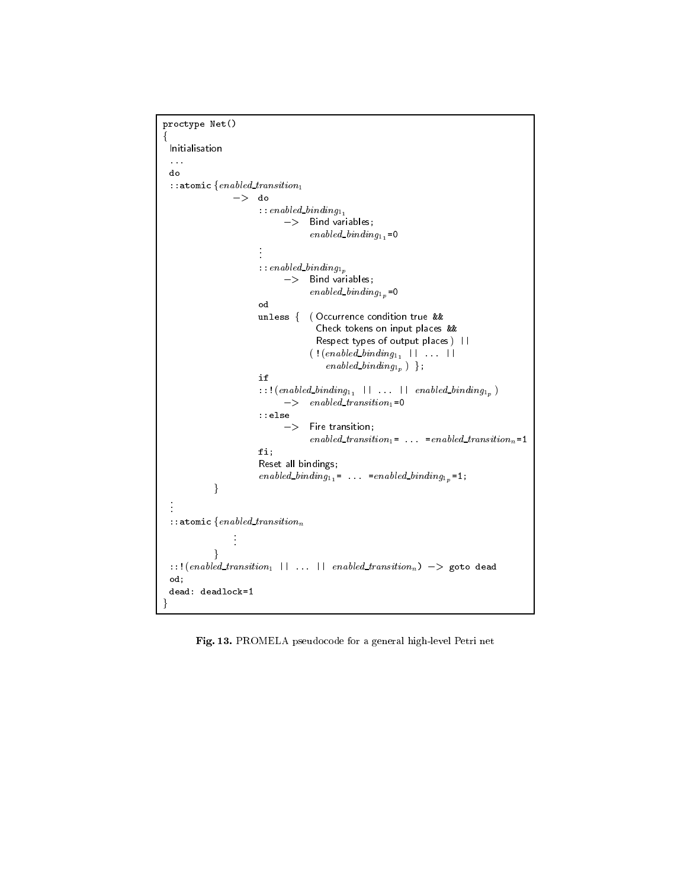```
proctype Net()
f
 Initialisation
 ...
 do
 :: atomic \{enabled\_transition_1->\;do
                        : :enabled\_binding_{1}-> Bind variables;
                                      enabled\_binding_{1_1} = 0::enabled\_binding_{1_p}-> Bind variables;
                                      enabeled\_binding_{1p} = 0od
                        unless f ( Occurrence condition true &&
                                       Check tokens on input places &&
                                       Respect types of output places) ||
                                      ( !( enabled_binding<sub>11</sub> || ... ||
                                          enabeled\_binding_{1_p} };
                        if
                         :::(enable d\_binding_{1_1} \quad || \quad ... \quad || \quad enabled\_binding_{1_p})\implies enabled_transition<sub>1</sub>=0
                         ::else<br>-> Fire transition;
                                      enabled_transition<sub>1</sub>= \dots =enabled_transition<sub>n</sub>=1
                        fi;
                        Reset all bindings;
                         enabled_binding<sub>11</sub> = ... = enabled_binding<sub>1p</sub> = 1;
             \}.
.
 :: atomic \{enabled\_transition_m\}::!(enable d_{\text{t}} transition_{1} || ... || enabled_transition<sub>n</sub>) -> goto dead
 od;
 dead: deadlock=1
\}
```
Fig. 13. PROMELA pseudocode for a general high-level Petri net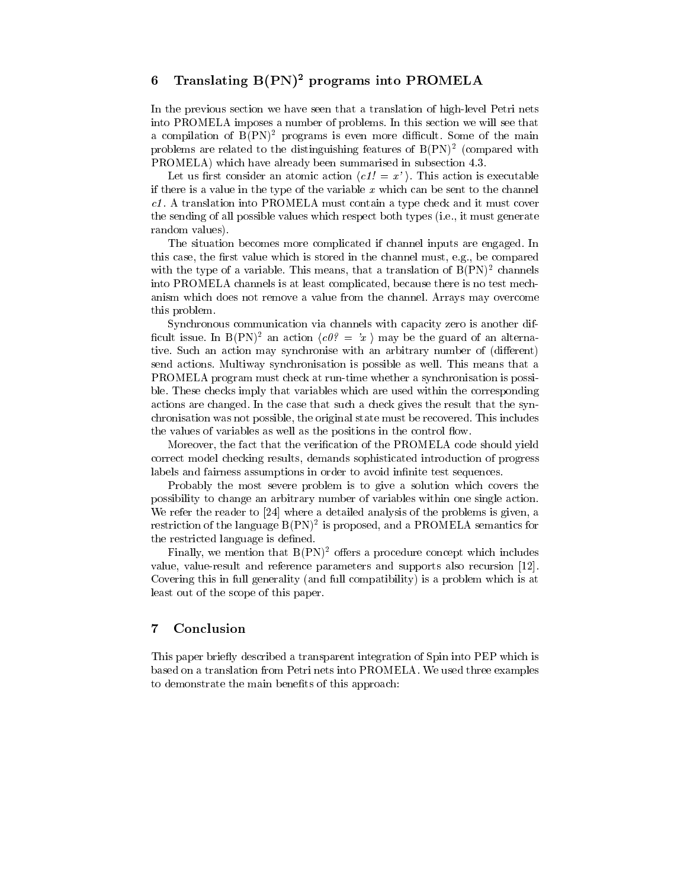# 6 Translating  $B(PN)^2$  programs into PROMELA

In the previous section we have seen that a translation of high-level Petri nets into PROMELA imposes a number of problems. In this section we will see that a compilation of  $B(PN)^2$  programs is even more difficult. Some of the main problems are related to the distinguishing features of B(PN)<sup>2</sup> (compared with PROMELA) which have already been summarised in subsection 4.3.

Let us first consider an atomic action  $\langle c1! = x' \rangle$ . This action is executable if there is a value in the type of the variable  $x$  which can be sent to the channel c1, il a translation into PROMELIA must contain a type check and it must cover to the sending of all possible values which respect both types (i.e., it must generate random values).

The situation becomes more complicated if channel inputs are engaged. In this case, the first value which is stored in the channel must, e.g., be compared with the type of a variable. This means, that a translation of  $B(PN)^2$  channels into PROMELA channels is at least complicated, because there is no test mechanism which does not removeavalue from the channel. Arrays may overcome this problem.

Synchronous communication via channels with capacity zero is another dif ficult issue. In B(PN)<sup>2</sup> an action  $\langle c\theta^2 = \alpha^2 \rangle$  may be the guard of an alternative. Such an action may synchronise with an arbitrary number of (different) send actions. Multiway synchronisation is possible as well. This means that a PROMELA program must check at run-time whether a synchronisation is possible. These checks imply that variables which are used within the corresponding actions are changed. In the case that such a check gives the result that the synchronisation was not possible, the original state must be recovered. This includes the values of variables as well as the positions in the control flow.

Moreover, the fact that the verication of the PROMELA code should yield correct model checking results, demands sophisticated introduction of progress labels and fairness assumptions in order to avoid infinite test sequences.

Probably the most severe problem is to give a solution which covers the possibility to change an arbitrary number of variables within one single action. We refer the reader to [24] where a detailed analysis of the problems is given, a restriction of the language  $B(FN)^2$  is proposed, and a PROMELA semantics for the restricted language is defined.

Finally, we mention that  $B(PN)^2$  offers a procedure concept which includes value, value-result and reference parameters and supports also recursion [12]. Covering this in full generality (and full compatibility) is a problem which is at least out of the scope of this paper.

# 7 Conclusion

This paper briefly described a transparent integration of Spin into PEP which is based on a translation from Petri nets into PROMELA. We used three examples to demonstrate the main benefits of this approach: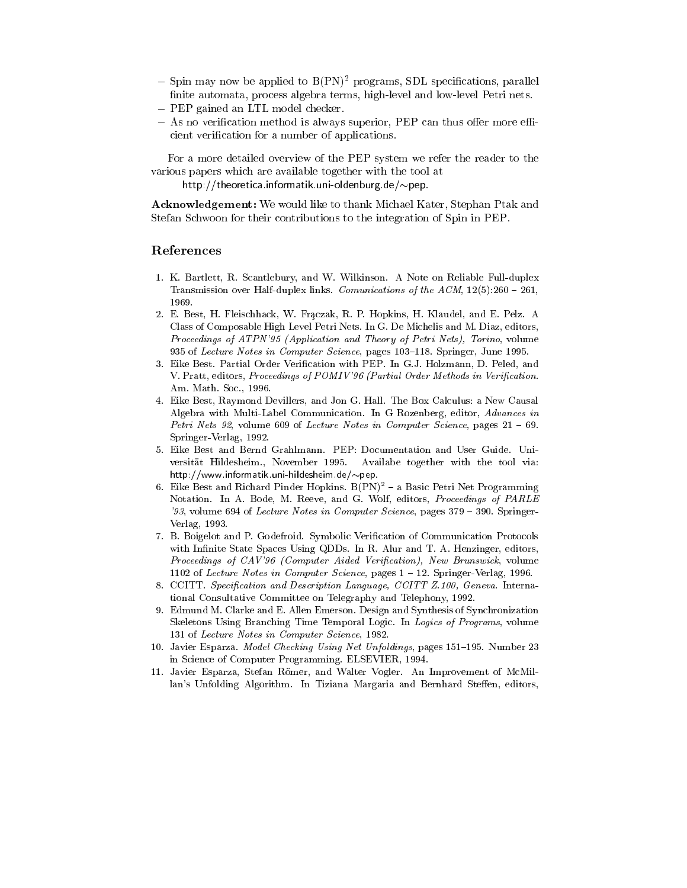- ${\rm -Spin}$  may now be applied to  ${\rm B}({\rm PN})^2$  programs, SDL specifications, parallel finite automata, process algebra terms, high-level and low-level Petri nets.
- PEP gained an LTL model checker.
- $-$  As no verification method is always superior, PEP can thus offer more efficient verication for a number of applications.

For a more detailed overview of the PEP system we refer the reader to the various papers which are available together with the tool at

http://theoretica.informatik.uni-oldenburg.de/ $\sim$ pep.

Acknowledgement: We would like to thank Michael Kater, Stephan Ptak and Stefan Schwoon for their contributions to the integration of Spin in PEP.

### References

- 1. K. Bartlett, R. Scantlebury, and W. Wilkinson. A Note on Reliable Full-duplex Transmission over Half-duplex links. Comunications of the ACM,  $12(5):260 - 261$ , 1969.
- 2. E. Best, H. Fleischhack, W. Fraczak, R. P. Hopkins, H. Klaudel, and E. Pelz. A Class of Composable High Level Petri Nets. In G. De Michelis and M. Diaz, editors, Proceedings of ATPN'95 (Application and Theory of Petri Nets), Torino, volume 935 of Lecture Notes in Computer Science, pages 103-118. Springer, June 1995.
- 3. Eike Best. Partial Order Verication with PEP. In G.J. Holzmann, D. Peled, and V. Pratt, editors, Proceedings of POMIV'96 (Partial Order Methods in Verification. Am. Math. Soc., 1996.
- 4. Eike Best, Raymond Devillers, and Jon G. Hall. The Box Calculus: a New Causal Algebra with Multi-Label Communication. In G Rozenberg, editor, Advances in Petri Nets 92, volume 609 of Lecture Notes in Computer Science, pages  $21 - 69$ . Springer-Verlag, 1992.
- 5. Eike Best and Bernd Grahlmann. PEP: Documentation and User Guide. Uni versitat Hildesheim., November 1995. Availabe together with the tool via: http://www.informatik.uni-hildesheim.de/ $\sim$ pep.
- 6. Eike Best and Richard Pinder Hopkins.  $B(PN)^2$  a Basic Petri Net Programming Notation. In A. Bode, M. Reeve, and G. Wolf, editors, Proceedings of PARLE '93, volume 694 of Lecture Notes in Computer Science, pages  $379 - 390$ . Springer-Verlag, 1993.
- 7. B. Boigelot and P. Godefroid. Symbolic Verication of Communication Protocols with Infinite State Spaces Using QDDs. In R. Alur and T. A. Henzinger, editors, Proceedings of CAV'96 (Computer Aided Verification), New Brunswick, volume 1102 of Lecture Notes in Computer Science, pages  $1 - 12$ . Springer-Verlag, 1996.
- 8. CCITT. Specification and Description Language, CCITT Z.100, Geneva. International Consultative Committee on Telegraphy and Telephony, 1992.
- 9. Edmund M. Clarke and E. Allen Emerson. Design and Synthesis of Synchronization Skeletons Using Branching Time Temporal Logic. In Logics of Programs, volume 131 of Lecture Notes in Computer Science, 1982.
- 10. Javier Esparza. Model Checking Using Net Unfoldings, pages 151-195. Number 23 in Science of Computer Programming. ELSEVIER, 1994.
- 11. Javier Esparza, Stefan Römer, and Walter Vogler. An Improvement of McMillan's Unfolding Algorithm. In Tiziana Margaria and Bernhard Steffen, editors,